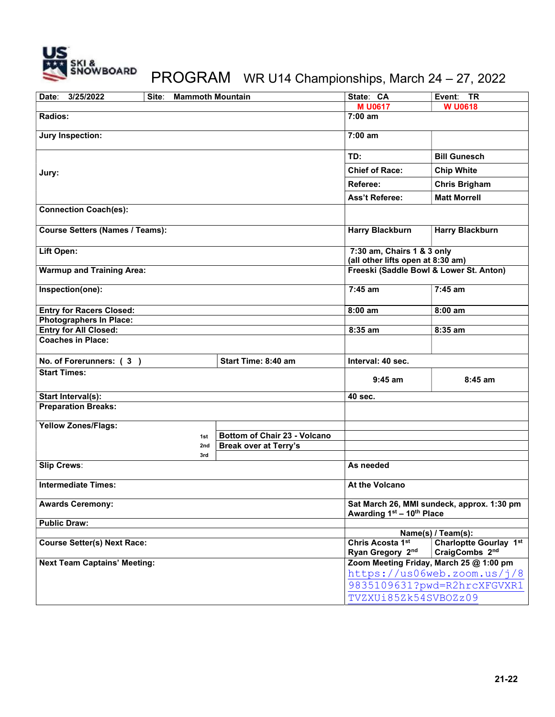

## PROGRAM WR U14 Championships, March 24 – 27, 2022

| Date:<br>3/25/2022                             | <b>Mammoth Mountain</b><br>Site: |                              | State: CA                                                               | Event: TR                                       |
|------------------------------------------------|----------------------------------|------------------------------|-------------------------------------------------------------------------|-------------------------------------------------|
|                                                |                                  |                              | <b>MU0617</b>                                                           | <b>W U0618</b>                                  |
| Radios:                                        |                                  |                              | $7:00$ am                                                               |                                                 |
| <b>Jury Inspection:</b>                        |                                  |                              | $7:00$ am                                                               |                                                 |
|                                                |                                  |                              | TD:                                                                     | <b>Bill Gunesch</b>                             |
| Jury:                                          |                                  |                              | <b>Chief of Race:</b>                                                   | <b>Chip White</b>                               |
|                                                |                                  |                              | Referee:                                                                | <b>Chris Brigham</b>                            |
|                                                |                                  |                              | <b>Ass't Referee:</b>                                                   | <b>Matt Morrell</b>                             |
| <b>Connection Coach(es):</b>                   |                                  |                              |                                                                         |                                                 |
| <b>Course Setters (Names / Teams):</b>         |                                  |                              | <b>Harry Blackburn</b>                                                  | <b>Harry Blackburn</b>                          |
| Lift Open:                                     |                                  |                              | 7:30 am, Chairs 1 & 3 only<br>(all other lifts open at 8:30 am)         |                                                 |
| <b>Warmup and Training Area:</b>               |                                  |                              | Freeski (Saddle Bowl & Lower St. Anton)                                 |                                                 |
|                                                |                                  |                              |                                                                         |                                                 |
| Inspection(one):                               |                                  |                              | $7:45$ am                                                               | $7:45$ am                                       |
| <b>Entry for Racers Closed:</b>                |                                  |                              | $8:00$ am                                                               | $8:00$ am                                       |
| <b>Photographers In Place:</b>                 |                                  |                              |                                                                         |                                                 |
| <b>Entry for All Closed:</b>                   |                                  |                              | 8:35 am                                                                 | 8:35 am                                         |
| <b>Coaches in Place:</b>                       |                                  |                              |                                                                         |                                                 |
| No. of Forerunners: (3)<br>Start Time: 8:40 am |                                  |                              | Interval: 40 sec.                                                       |                                                 |
| <b>Start Times:</b>                            |                                  |                              | $9:45$ am                                                               | $8:45$ am                                       |
| Start Interval(s):                             |                                  |                              | 40 sec.                                                                 |                                                 |
| <b>Preparation Breaks:</b>                     |                                  |                              |                                                                         |                                                 |
| <b>Yellow Zones/Flags:</b>                     |                                  |                              |                                                                         |                                                 |
|                                                | 1st                              | Bottom of Chair 23 - Volcano |                                                                         |                                                 |
|                                                | 2nd                              | <b>Break over at Terry's</b> |                                                                         |                                                 |
|                                                | 3rd                              |                              |                                                                         |                                                 |
| <b>Slip Crews:</b>                             |                                  |                              | As needed                                                               |                                                 |
| <b>Intermediate Times:</b>                     |                                  |                              | At the Volcano                                                          |                                                 |
| <b>Awards Ceremony:</b>                        |                                  |                              | Sat March 26, MMI sundeck, approx. 1:30 pm<br>Awarding 1st - 10th Place |                                                 |
| <b>Public Draw:</b>                            |                                  |                              |                                                                         |                                                 |
|                                                |                                  |                              |                                                                         | Name(s) / Team(s):                              |
| <b>Course Setter(s) Next Race:</b>             |                                  |                              | Chris Acosta 1st<br>Ryan Gregory 2nd                                    | <b>Charloptte Gourlay 1st</b><br>CraigCombs 2nd |
| <b>Next Team Captains' Meeting:</b>            |                                  |                              | Zoom Meeting Friday, March 25 @ 1:00 pm                                 |                                                 |
|                                                |                                  |                              | https://us06web.zoom.us/j/8                                             |                                                 |
|                                                |                                  |                              | 9835109631?pwd=R2hrcXFGVXR1                                             |                                                 |
|                                                |                                  |                              | TVZXUi85Zk54SVBOZz09                                                    |                                                 |